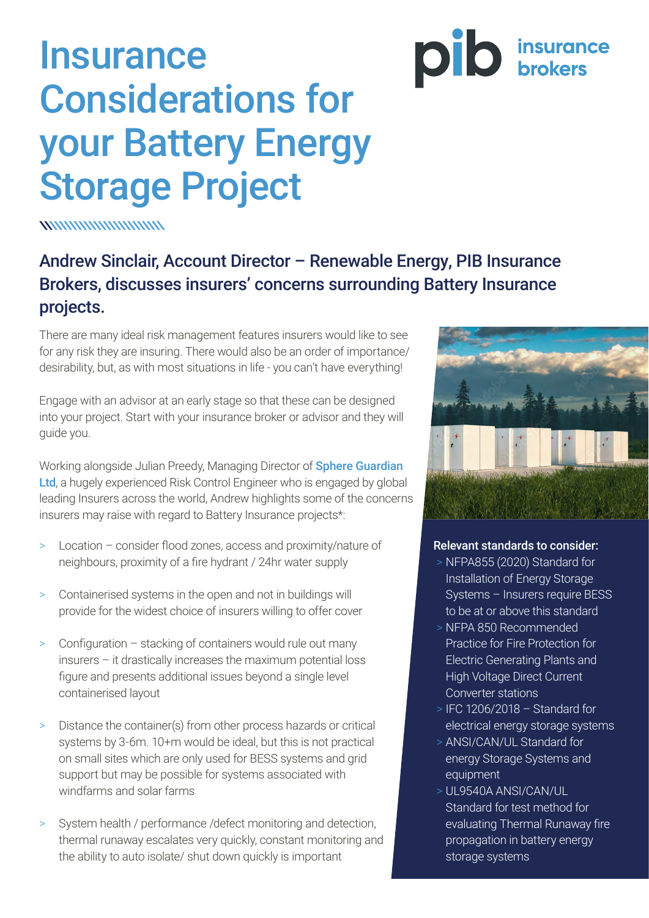## **Insurance** Considerations for your Battery Energy Storage Project

**WWWWWWWWWWW** 

## Andrew Sinclair, Account Director – Renewable Energy, PIB Insurance Brokers, discusses insurers' concerns surrounding Battery Insurance projects.

There are many ideal risk management features insurers would like to see for any risk they are insuring. There would also be an order of importance/ desirability, but, as with most situations in life - you can't have everything!

Engage with an advisor at an early stage so that these can be designed into your project. Start with your insurance broker or advisor and they will guide you.

Working alongside Julian Preedy, Managing Director of **Sphere Guardian** [Ltd](http://www.sphere-guardian.co.uk/), a hugely experienced Risk Control Engineer who is engaged by global leading Insurers across the world, Andrew highlights some of the concerns insurers may raise with regard to Battery Insurance projects\*:

- > Location consider flood zones, access and proximity/nature of neighbours, proximity of a fire hydrant / 24hr water supply
- > Containerised systems in the open and not in buildings will provide for the widest choice of insurers willing to offer cover
- > Configuration stacking of containers would rule out many insurers – it drastically increases the maximum potential loss figure and presents additional issues beyond a single level containerised layout
- > Distance the container(s) from other process hazards or critical systems by 3-6m. 10+m would be ideal, but this is not practical on small sites which are only used for BESS systems and grid support but may be possible for systems associated with windfarms and solar farms
- > System health / performance /defect monitoring and detection, thermal runaway escalates very quickly, constant monitoring and the ability to auto isolate/ shut down quickly is important



**DID** insurance

## Relevant standards to consider:

- > NFPA855 (2020) Standard for Installation of Energy Storage Systems – Insurers require BESS to be at or above this standard
- > NFPA 850 Recommended Practice for Fire Protection for Electric Generating Plants and High Voltage Direct Current Converter stations
- > IFC 1206/2018 Standard for electrical energy storage systems
- > ANSI/CAN/UL Standard for energy Storage Systems and equipment
- > UL9540A ANSI/CAN/UL Standard for test method for evaluating Thermal Runaway fire propagation in battery energy storage systems